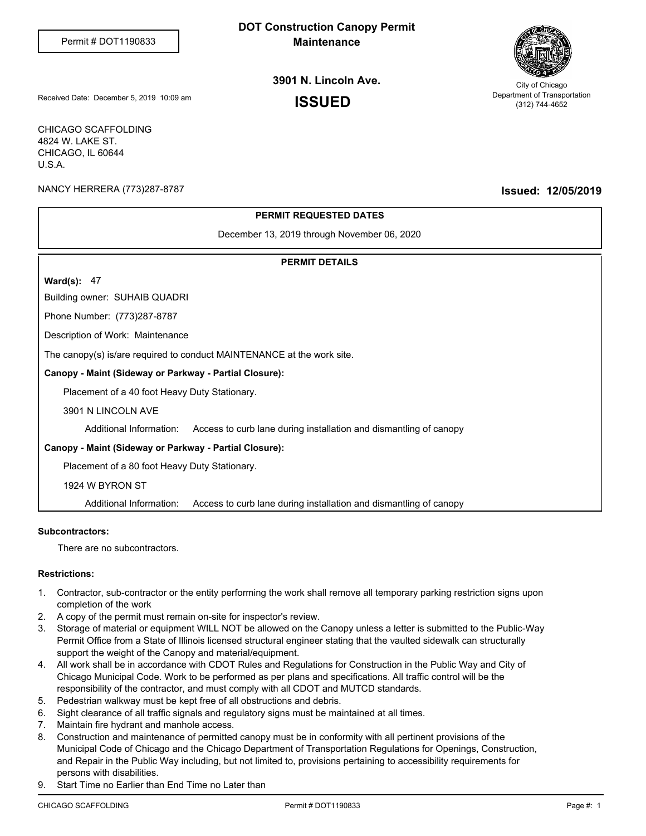# **DOT Construction Canopy Permit Maintenance**



# **3901 N. Lincoln Ave.**

City of Chicago Department of Transportation (312) 744-4652

Received Date: December 5, 2019 10:09 am **ISSUED** 

CHICAGO SCAFFOLDING 4824 W. LAKE ST. CHICAGO, IL 60644 U.S.A.

NANCY HERRERA (773)287-8787 **Issued: 12/05/2019**

## **PERMIT REQUESTED DATES**

December 13, 2019 through November 06, 2020

### **PERMIT DETAILS**

**Ward(s):** 47

Building owner: SUHAIB QUADRI

Phone Number: (773)287-8787

Description of Work: Maintenance

The canopy(s) is/are required to conduct MAINTENANCE at the work site.

#### **Canopy - Maint (Sideway or Parkway - Partial Closure):**

Placement of a 40 foot Heavy Duty Stationary.

3901 N LINCOLN AVE

Additional Information: Access to curb lane during installation and dismantling of canopy

#### **Canopy - Maint (Sideway or Parkway - Partial Closure):**

Placement of a 80 foot Heavy Duty Stationary.

1924 W BYRON ST

Additional Information: Access to curb lane during installation and dismantling of canopy

#### **Subcontractors:**

There are no subcontractors.

#### **Restrictions:**

- Contractor, sub-contractor or the entity performing the work shall remove all temporary parking restriction signs upon 1. completion of the work
- 2. A copy of the permit must remain on-site for inspector's review.
- Storage of material or equipment WILL NOT be allowed on the Canopy unless a letter is submitted to the Public-Way Permit Office from a State of Illinois licensed structural engineer stating that the vaulted sidewalk can structurally support the weight of the Canopy and material/equipment. 3.
- All work shall be in accordance with CDOT Rules and Regulations for Construction in the Public Way and City of 4. Chicago Municipal Code. Work to be performed as per plans and specifications. All traffic control will be the responsibility of the contractor, and must comply with all CDOT and MUTCD standards.
- 5. Pedestrian walkway must be kept free of all obstructions and debris.
- 6. Sight clearance of all traffic signals and regulatory signs must be maintained at all times.
- 7. Maintain fire hydrant and manhole access.
- Construction and maintenance of permitted canopy must be in conformity with all pertinent provisions of the 8. Municipal Code of Chicago and the Chicago Department of Transportation Regulations for Openings, Construction, and Repair in the Public Way including, but not limited to, provisions pertaining to accessibility requirements for persons with disabilities.
- 9. Start Time no Earlier than End Time no Later than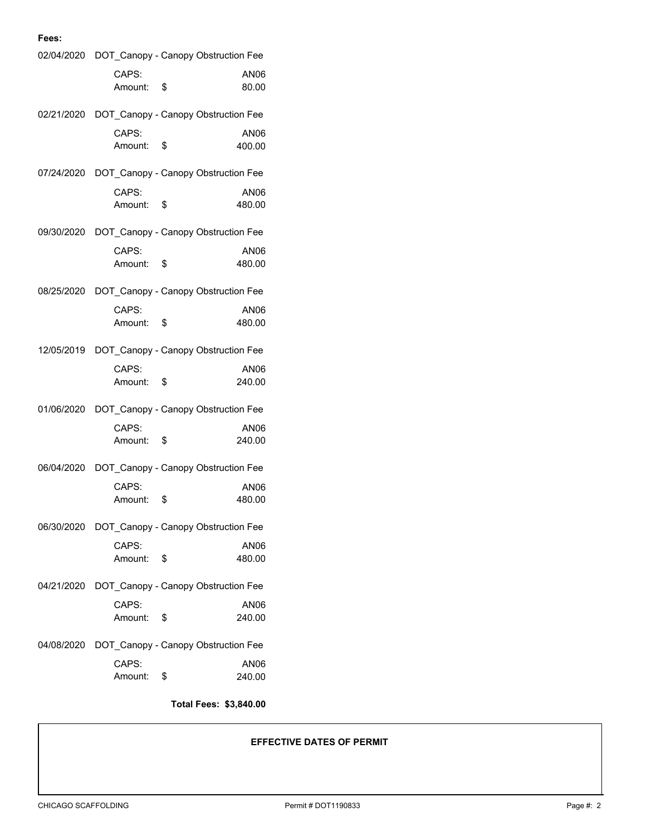#### CAPS: Amount: \$ 02/04/2020 DOT\_Canopy - Canopy Obstruction Fee AN06 80.00 CAPS: Amount: \$ 02/21/2020 DOT\_Canopy - Canopy Obstruction Fee AN06 400.00 CAPS: Amount: \$ 07/24/2020 DOT\_Canopy - Canopy Obstruction Fee AN06 480.00 CAPS: Amount: \$ 09/30/2020 DOT\_Canopy - Canopy Obstruction Fee AN06 480.00 CAPS: Amount: \$ 08/25/2020 DOT\_Canopy - Canopy Obstruction Fee AN06 480.00 CAPS: Amount: \$ 12/05/2019 DOT\_Canopy - Canopy Obstruction Fee AN06 240.00 CAPS: Amount: \$ 01/06/2020 DOT\_Canopy - Canopy Obstruction Fee AN06 240.00 CAPS: Amount: \$ 06/04/2020 DOT Canopy - Canopy Obstruction Fee AN06 480.00 CAPS: Amount: \$ 06/30/2020 DOT\_Canopy - Canopy Obstruction Fee AN06 480.00 CAPS: Amount: \$ 04/21/2020 DOT Canopy - Canopy Obstruction Fee AN06 240.00 CAPS: 04/08/2020 DOT\_Canopy - Canopy Obstruction Fee AN06

Amount: \$

**Fees:**

#### **Total Fees: \$3,840.00**

240.00

**EFFECTIVE DATES OF PERMIT**